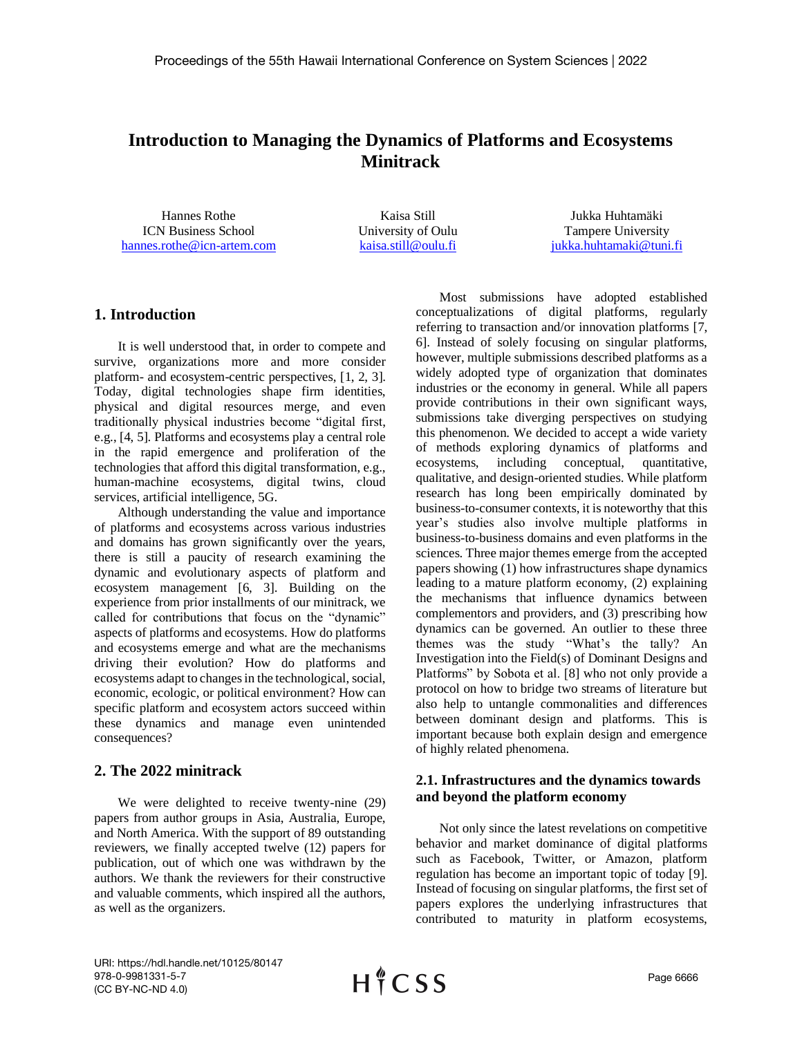# **Introduction to Managing the Dynamics of Platforms and Ecosystems Minitrack**

Hannes Rothe ICN Business School [hannes.rothe@icn-artem.com](mailto:hannes.rothe@icn-artem.com)

Kaisa Still University of Oulu [kaisa.still@oulu.fi](mailto:kaisa.still@oulu.fi)

Jukka Huhtamäki Tampere University [jukka.huhtamaki@tuni.fi](mailto:jukka.huhtamaki@tuni.fi)

### **1. Introduction**

It is well understood that, in order to compete and survive, organizations more and more consider platform- and ecosystem-centric perspectives, [1, 2, 3]. Today, digital technologies shape firm identities, physical and digital resources merge, and even traditionally physical industries become "digital first, e.g., [4, 5]. Platforms and ecosystems play a central role in the rapid emergence and proliferation of the technologies that afford this digital transformation, e.g., human-machine ecosystems, digital twins, cloud services, artificial intelligence, 5G.

Although understanding the value and importance of platforms and ecosystems across various industries and domains has grown significantly over the years, there is still a paucity of research examining the dynamic and evolutionary aspects of platform and ecosystem management [6, 3]. Building on the experience from prior installments of our minitrack, we called for contributions that focus on the "dynamic" aspects of platforms and ecosystems. How do platforms and ecosystems emerge and what are the mechanisms driving their evolution? How do platforms and ecosystems adapt to changes in the technological, social, economic, ecologic, or political environment? How can specific platform and ecosystem actors succeed within these dynamics and manage even unintended consequences?

## **2. The 2022 minitrack**

We were delighted to receive twenty-nine (29) papers from author groups in Asia, Australia, Europe, and North America. With the support of 89 outstanding reviewers, we finally accepted twelve (12) papers for publication, out of which one was withdrawn by the authors. We thank the reviewers for their constructive and valuable comments, which inspired all the authors, as well as the organizers.

Most submissions have adopted established conceptualizations of digital platforms, regularly referring to transaction and/or innovation platforms [7, 6]. Instead of solely focusing on singular platforms, however, multiple submissions described platforms as a widely adopted type of organization that dominates industries or the economy in general. While all papers provide contributions in their own significant ways, submissions take diverging perspectives on studying this phenomenon. We decided to accept a wide variety of methods exploring dynamics of platforms and ecosystems, including conceptual, quantitative, qualitative, and design-oriented studies. While platform research has long been empirically dominated by business-to-consumer contexts, it is noteworthy that this year's studies also involve multiple platforms in business-to-business domains and even platforms in the sciences. Three major themes emerge from the accepted papers showing (1) how infrastructures shape dynamics leading to a mature platform economy, (2) explaining the mechanisms that influence dynamics between complementors and providers, and (3) prescribing how dynamics can be governed. An outlier to these three themes was the study "What's the tally? An Investigation into the Field(s) of Dominant Designs and Platforms" by Sobota et al. [8] who not only provide a protocol on how to bridge two streams of literature but also help to untangle commonalities and differences between dominant design and platforms. This is important because both explain design and emergence of highly related phenomena.

### **2.1. Infrastructures and the dynamics towards and beyond the platform economy**

Not only since the latest revelations on competitive behavior and market dominance of digital platforms such as Facebook, Twitter, or Amazon, platform regulation has become an important topic of today [9]. Instead of focusing on singular platforms, the first set of papers explores the underlying infrastructures that contributed to maturity in platform ecosystems,

URI: https://hdl.handle.net/10125/80147 978-0-9981331-5-7 (CC BY-NC-ND 4.0)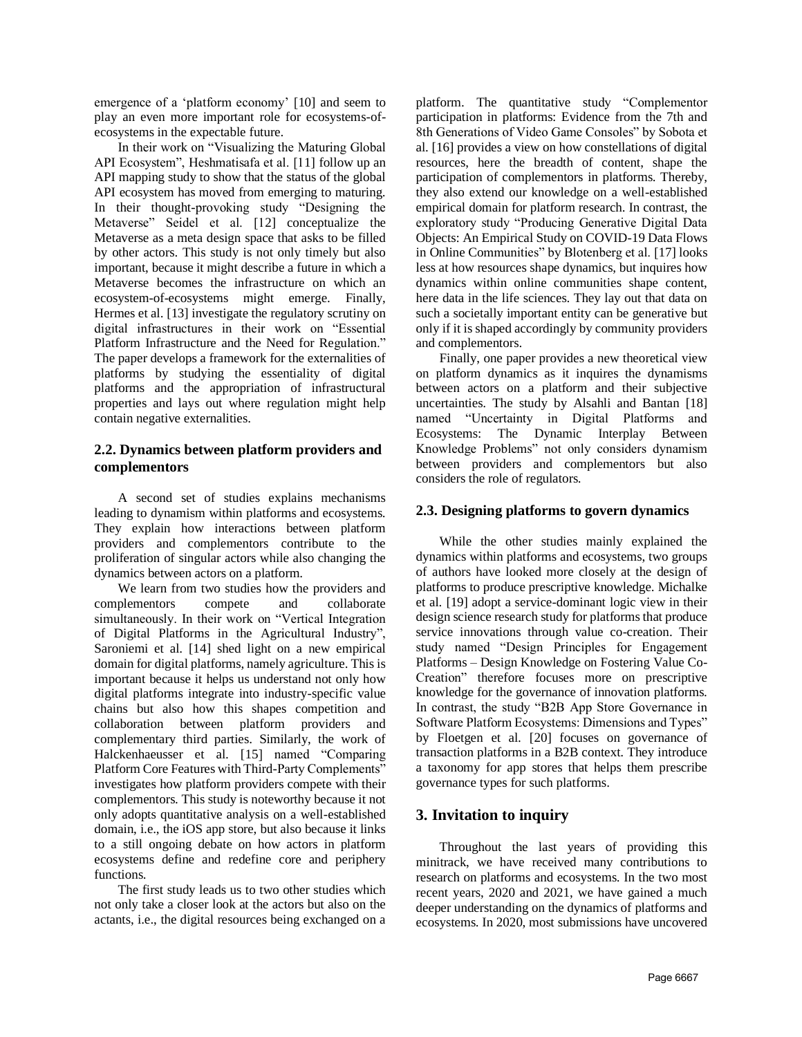emergence of a 'platform economy' [10] and seem to play an even more important role for ecosystems-ofecosystems in the expectable future.

In their work on "Visualizing the Maturing Global API Ecosystem", Heshmatisafa et al. [11] follow up an API mapping study to show that the status of the global API ecosystem has moved from emerging to maturing. In their thought-provoking study "Designing the Metaverse" Seidel et al. [12] conceptualize the Metaverse as a meta design space that asks to be filled by other actors. This study is not only timely but also important, because it might describe a future in which a Metaverse becomes the infrastructure on which an ecosystem-of-ecosystems might emerge. Finally, Hermes et al. [13] investigate the regulatory scrutiny on digital infrastructures in their work on "Essential Platform Infrastructure and the Need for Regulation." The paper develops a framework for the externalities of platforms by studying the essentiality of digital platforms and the appropriation of infrastructural properties and lays out where regulation might help contain negative externalities.

### **2.2. Dynamics between platform providers and complementors**

A second set of studies explains mechanisms leading to dynamism within platforms and ecosystems. They explain how interactions between platform providers and complementors contribute to the proliferation of singular actors while also changing the dynamics between actors on a platform.

We learn from two studies how the providers and complementors compete and collaborate simultaneously. In their work on "Vertical Integration of Digital Platforms in the Agricultural Industry", Saroniemi et al. [14] shed light on a new empirical domain for digital platforms, namely agriculture. This is important because it helps us understand not only how digital platforms integrate into industry-specific value chains but also how this shapes competition and collaboration between platform providers and complementary third parties. Similarly, the work of Halckenhaeusser et al. [15] named "Comparing Platform Core Features with Third-Party Complements" investigates how platform providers compete with their complementors. This study is noteworthy because it not only adopts quantitative analysis on a well-established domain, i.e., the iOS app store, but also because it links to a still ongoing debate on how actors in platform ecosystems define and redefine core and periphery functions.

The first study leads us to two other studies which not only take a closer look at the actors but also on the actants, i.e., the digital resources being exchanged on a platform. The quantitative study "Complementor participation in platforms: Evidence from the 7th and 8th Generations of Video Game Consoles" by Sobota et al. [16] provides a view on how constellations of digital resources, here the breadth of content, shape the participation of complementors in platforms. Thereby, they also extend our knowledge on a well-established empirical domain for platform research. In contrast, the exploratory study "Producing Generative Digital Data Objects: An Empirical Study on COVID-19 Data Flows in Online Communities" by Blotenberg et al. [17] looks less at how resources shape dynamics, but inquires how dynamics within online communities shape content, here data in the life sciences. They lay out that data on such a societally important entity can be generative but only if it is shaped accordingly by community providers and complementors.

Finally, one paper provides a new theoretical view on platform dynamics as it inquires the dynamisms between actors on a platform and their subjective uncertainties. The study by Alsahli and Bantan [18] named "Uncertainty in Digital Platforms and Ecosystems: The Dynamic Interplay Between Knowledge Problems" not only considers dynamism between providers and complementors but also considers the role of regulators.

### **2.3. Designing platforms to govern dynamics**

While the other studies mainly explained the dynamics within platforms and ecosystems, two groups of authors have looked more closely at the design of platforms to produce prescriptive knowledge. Michalke et al. [19] adopt a service-dominant logic view in their design science research study for platforms that produce service innovations through value co-creation. Their study named "Design Principles for Engagement Platforms – Design Knowledge on Fostering Value Co-Creation" therefore focuses more on prescriptive knowledge for the governance of innovation platforms. In contrast, the study "B2B App Store Governance in Software Platform Ecosystems: Dimensions and Types" by Floetgen et al. [20] focuses on governance of transaction platforms in a B2B context. They introduce a taxonomy for app stores that helps them prescribe governance types for such platforms.

## **3. Invitation to inquiry**

Throughout the last years of providing this minitrack, we have received many contributions to research on platforms and ecosystems. In the two most recent years, 2020 and 2021, we have gained a much deeper understanding on the dynamics of platforms and ecosystems. In 2020, most submissions have uncovered